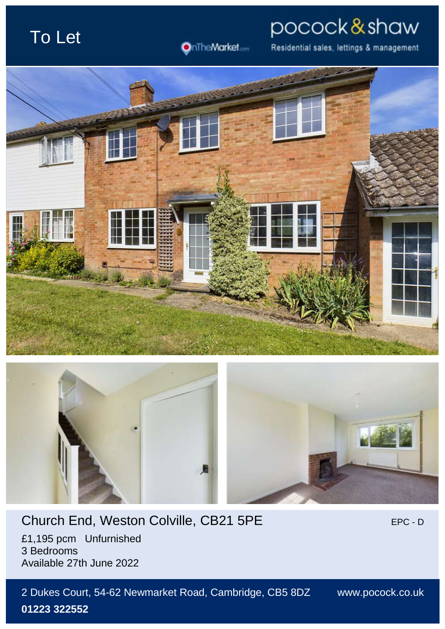# To Let

OnTheMarket.com

Residential sales, lettings & management

pocock&shaw





## Church End, Weston Colville, CB21 5PE EPC - DEPC - D

£1,195 pcm Unfurnished 3 Bedrooms Available 27th June 2022

2 Dukes Court, 54-62 Newmarket Road, Cambridge, CB5 8DZ www.pocock.co.uk **01223 322552**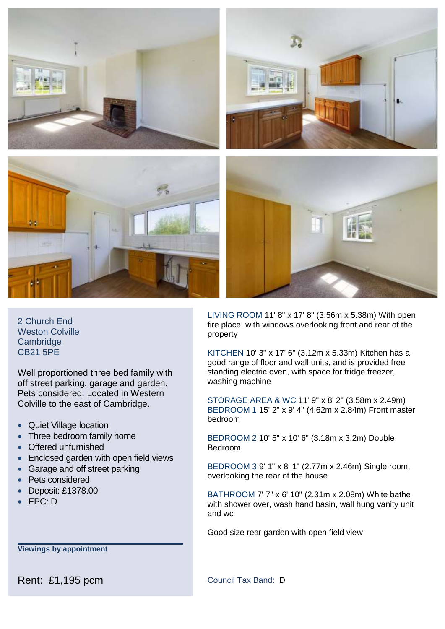

2 Church End Weston Colville **Cambridge** CB21 5PE

Well proportioned three bed family with off street parking, garage and garden. Pets considered. Located in Western Colville to the east of Cambridge.

- Quiet Village location
- Three bedroom family home
- Offered unfurnished
- Enclosed garden with open field views
- Garage and off street parking
- Pets considered
- Deposit: £1378.00
- EPC: D

**Viewings by appointment**

LIVING ROOM 11' 8" x 17' 8" (3.56m x 5.38m) With open fire place, with windows overlooking front and rear of the property

KITCHEN 10' 3" x 17' 6" (3.12m x 5.33m) Kitchen has a good range of floor and wall units, and is provided free standing electric oven, with space for fridge freezer, washing machine

STORAGE AREA & WC 11' 9" x 8' 2" (3.58m x 2.49m) BEDROOM 1 15' 2" x 9' 4" (4.62m x 2.84m) Front master bedroom

BEDROOM 2 10' 5" x 10' 6" (3.18m x 3.2m) Double Bedroom

BEDROOM 3 9' 1" x 8' 1" (2.77m x 2.46m) Single room, overlooking the rear of the house

BATHROOM 7' 7" x 6' 10" (2.31m x 2.08m) White bathe with shower over, wash hand basin, wall hung vanity unit and wc

Good size rear garden with open field view

Rent: £1,195 pcm Council Tax Band: D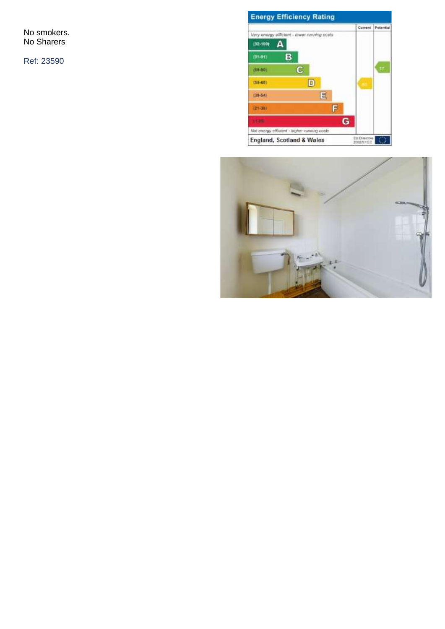No smokers. No Sharers

Ref: 23590